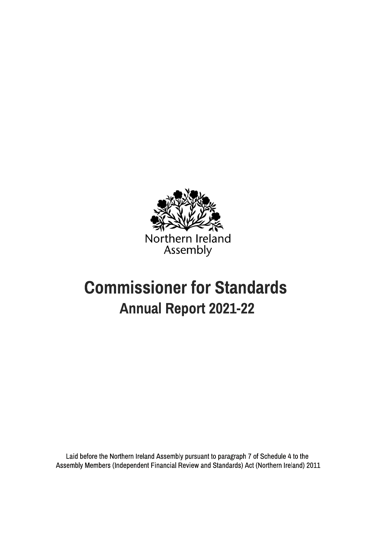

# Commissioner for Standards Annual Report 2021-22

Laid before the Northern Ireland Assembly pursuant to paragraph 7 of Schedule 4 to the Assembly Members (Independent Financial Review and Standards) Act (Northern Ireland) 2011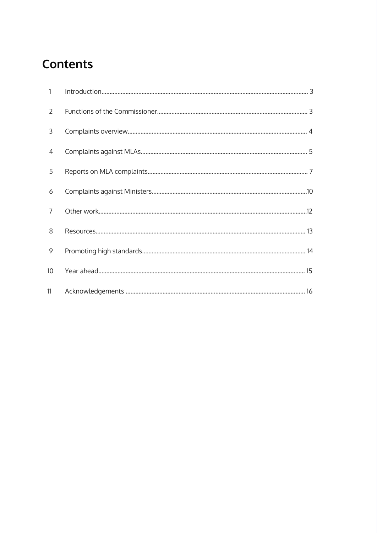## **Contents**

| $\mathbf{1}$    |  |
|-----------------|--|
| 2               |  |
| 3               |  |
| $\overline{4}$  |  |
| 5               |  |
| 6               |  |
| $\overline{7}$  |  |
| 8               |  |
| 9               |  |
| 10 <sup>°</sup> |  |
| 11              |  |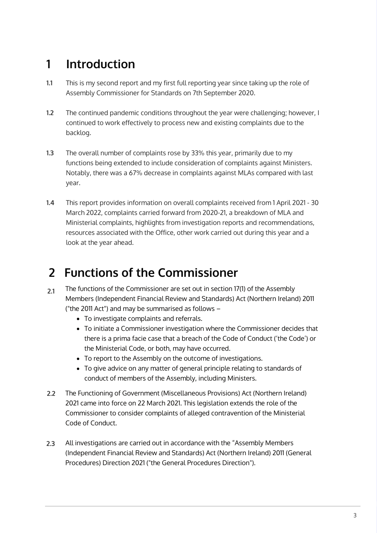## **1 Introduction**

- This is my second report and my first full reporting year since taking up the role of Assembly Commissioner for Standards on 7th September 2020. **1.1**
- The continued pandemic conditions throughout the year were challenging; however, I continued to work effectively to process new and existing complaints due to the backlog. **1.2**
- The overall number of complaints rose by 33% this year, primarily due to my functions being extended to include consideration of complaints against Ministers. Notably, there was a 67% decrease in complaints against MLAs compared with last year. **1.3**
- This report provides information on overall complaints received from 1 April 2021 30 March 2022, complaints carried forward from 2020-21, a breakdown of MLA and Ministerial complaints, highlights from investigation reports and recommendations, resources associated with the Office, other work carried out during this year and a look at the year ahead. **1.4**

## **2 Functions of the Commissioner**

- The functions of the Commissioner are set out in section 17(1) of the Assembly Members (Independent Financial Review and Standards) Act (Northern Ireland) 2011 ("the 2011 Act") and may be summarised as follows – **2.1**
	- To investigate complaints and referrals.
	- To initiate a Commissioner investigation where the Commissioner decides that there is a prima facie case that a breach of the Code of Conduct ('the Code') or the Ministerial Code, or both, may have occurred.
	- To report to the Assembly on the outcome of investigations.
	- To give advice on any matter of general principle relating to standards of conduct of members of the Assembly, including Ministers.
- The Functioning of Government (Miscellaneous Provisions) Act (Northern Ireland) 2021 came into force on 22 March 2021. This legislation extends the role of the Commissioner to consider complaints of alleged contravention of the Ministerial Code of Conduct. **2.2**
- All investigations are carried out in accordance with the "Assembly Members (Independent Financial Review and Standards) Act (Northern Ireland) 2011 (General Procedures) Direction 2021 ("the General Procedures Direction"). **2.3**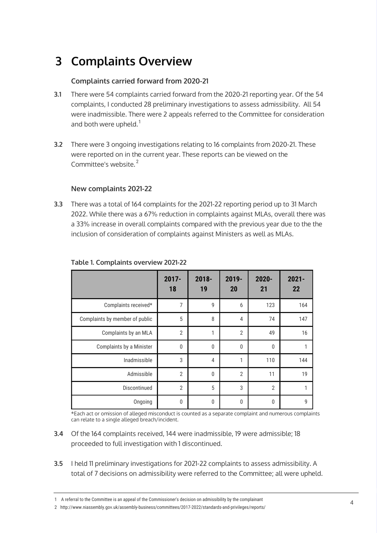## **3 Complaints Overview**

## **Complaints carried forward from 2020-21**

- There were 54 complaints carried forward from the 2020-21 reporting year. Of the 54 complaints, I conducted 28 preliminary investigations to assess admissibility. All 54 were inadmissible. There were 2 appeals referred to the Committee for consideration and both were upheld.<sup>1</sup> **3.1**
- There were 3 ongoing investigations relating to 16 complaints from 2020-21. These were reported on in the current year. These reports can be viewed on the Committee's website.<sup>2</sup> **3.2**

### **New complaints 2021-22**

There was a total of 164 complaints for the 2021-22 reporting period up to 31 March 2022. While there was a 67% reduction in complaints against MLAs, overall there was a 33% increase in overall complaints compared with the previous year due to the the inclusion of consideration of complaints against Ministers as well as MLAs. **3.3**

|                                | $2017 -$<br>18 | $2018 -$<br>19 | $2019 -$<br>20 | $2020 -$<br>21 | $2021 -$<br>22 |
|--------------------------------|----------------|----------------|----------------|----------------|----------------|
| Complaints received*           | 7              | 9              | 6              | 123            | 164            |
| Complaints by member of public | 5              | 8              | $\overline{4}$ | 74             | 147            |
| Complaints by an MLA           | $\overline{2}$ | 1              | $\overline{2}$ | 49             | 16             |
| Complaints by a Minister       | $\mathbf{0}$   | $\mathbf{0}$   | 0              | 0              | 1              |
| Inadmissible                   | 3              | $\overline{4}$ | 1              | 110            | 144            |
| Admissible                     | $\overline{2}$ | $\mathbf{0}$   | $\overline{2}$ | 11             | 19             |
| Discontinued                   | $\overline{2}$ | 5              | 3              | $\overline{2}$ | 1              |
| Ongoing                        | 0              | $\pmb{0}$      | $\mathbf{0}$   | 0              | 9              |

### **Table 1. Complaints overview 2021-22**

\*Each act or omission of alleged misconduct is counted as a separate complaint and numerous complaints can relate to a single alleged breach/incident.

- Of the 164 complaints received, 144 were inadmissible, 19 were admissible; 18 **3.4** proceeded to full investigation with 1 discontinued.
- I held 11 preliminary investigations for 2021-22 complaints to assess admissibility. A total of 7 decisions on admissibility were referred to the Committee; all were upheld. **3.5**

<sup>1</sup>  A referral to the Committee is an appeal of the Commissioner's decision on admissibility by the complainant

<sup>2</sup> http://www.niassembly.gov.uk/assembly-business/committees/2017-2022/standards-and-privileges/reports/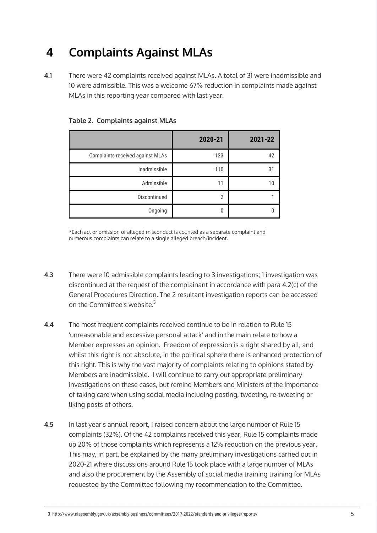## **4 Complaints Against MLAs**

There were 42 complaints received against MLAs. A total of 31 were inadmissible and 10 were admissible. This was a welcome 67% reduction in complaints made against MLAs in this reporting year compared with last year. **4.1**

|                                  | 2020-21        | 2021-22 |
|----------------------------------|----------------|---------|
| Complaints received against MLAs | 123            | 42      |
| Inadmissible                     | 110            | 31      |
| Admissible                       | 11             | 10      |
| Discontinued                     | $\overline{2}$ |         |
| Ongoing                          | 0              |         |

**Table 2. Complaints against MLAs**

\*Each act or omission of alleged misconduct is counted as a separate complaint and numerous complaints can relate to a single alleged breach/incident.

- There were 10 admissible complaints leading to 3 investigations; 1 investigation was discontinued at the request of the complainant in accordance with para 4.2(c) of the General Procedures Direction. The 2 resultant investigation reports can be accessed on the Committee's website. $^3$ **4.3**
- The most frequent complaints received continue to be in relation to Rule 15 'unreasonable and excessive personal attack' and in the main relate to how a Member expresses an opinion. Freedom of expression is a right shared by all, and whilst this right is not absolute, in the political sphere there is enhanced protection of this right. This is why the vast majority of complaints relating to opinions stated by Members are inadmissible. I will continue to carry out appropriate preliminary investigations on these cases, but remind Members and Ministers of the importance of taking care when using social media including posting, tweeting, re-tweeting or liking posts of others. **4.4**
- In last year's annual report, I raised concern about the large number of Rule 15 complaints (32%). Of the 42 complaints received this year, Rule 15 complaints made up 20% of those complaints which represents a 12% reduction on the previous year. This may, in part, be explained by the many preliminary investigations carried out in 2020-21 where discussions around Rule 15 took place with a large number of MLAs and also the procurement by the Assembly of social media training training for MLAs requested by the Committee following my recommendation to the Committee. **4.5**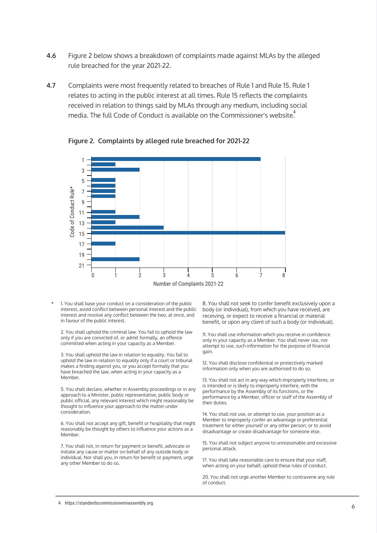- Figure 2 below shows a breakdown of complaints made against MLAs by the alleged rule breached for the year 2021-22. **4.6**
- Complaints were most frequently related to breaches of Rule 1 and Rule 15. Rule 1 relates to acting in the public interest at all times. Rule 15 reflects the complaints received in relation to things said by MLAs through any medium, including social media. The full Code of Conduct is available on the Commissioner's website. $\overset{4}{\cdot}$ **4.7**



**Figure 2. Complaints by alleged rule breached for 2021-22**

1. You shall base your conduct on a consideration of the public interest, avoid conflict between personal interest and the public interest and resolve any conflict between the two, at once, and in favour of the public interest. \*

2. You shall uphold the criminal law. You fail to uphold the law only if you are convicted of, or admit formally, an offence committed when acting in your capacity as a Member.

3. You shall uphold the law in relation to equality. You fail to uphold the law in relation to equality only if a court or tribunal makes a finding against you, or you accept formally that you have breached the law, when acting in your capacity as a Member.

5. You shall declare, whether in Assembly proceedings or in any approach to a Minister, public representative, public body or public official, any relevant interest which might reasonably be thought to influence your approach to the matter under consideration.

ig. You shall n<br>Member to im<br>G. You shall not accept any gift, benefit or hospitality that might reasonably be thought by others to influence your actions as a Member.

7. You shall not, in return for payment or benefit, advocate or initiate any cause or matter on behalf of any outside body or individual. Nor shall you, in return for benefit or payment, urge any other Member to do so.

benefit, or upon any client of such a body (or individual). 8. You shall not seek to confer benefit exclusively upon a body (or individual), from which you have received, are receiving, or expect to receive a financial or material

> 11. You shall use information which you receive in confidence only in your capacity as a Member. You shall never use, nor attempt to use, such information for the purpose of financial gain.

12. You shall disclose confidential or protectively marked information only when you are authorised to do so.

13. You shall not act in any way which improperly interferes, or is intended or is likely to improperly interfere, with the performance by the Assembly of its functions, or the performance by a Member, officer or staff of the Assembly of their duties.

14. You shall not use, or attempt to use, your position as a Member to improperly confer an advantage or preferential treatment for either yourself or any other person; or to avoid disadvantage or create disadvantage for someone else.

15. You shall not subject anyone to unreasonable and excessive personal attack.

17. You shall take reasonable care to ensure that your staff, when acting on your behalf, uphold these rules of conduct.

20. You shall not urge another Member to contravene any rule of conduct.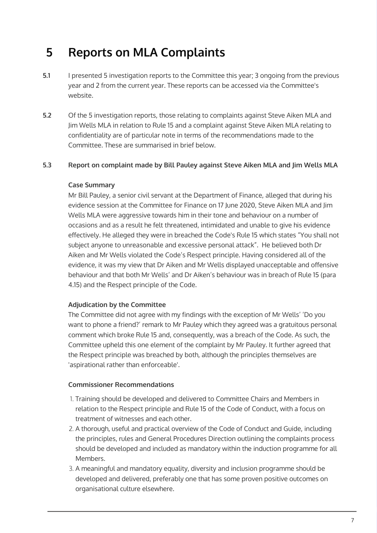## **5 Reports on MLA Complaints**

- I presented 5 investigation reports to the Committee this year; 3 ongoing from the previous year and 2 from the current year. These reports can be accessed via the Committee's website. **5.1**
- Of the 5 investigation reports, those relating to complaints against Steve Aiken MLA and Jim Wells MLA in relation to Rule 15 and a complaint against Steve Aiken MLA relating to confidentiality are of particular note in terms of the recommendations made to the Committee. These are summarised in brief below. **5.2**

#### **Report on complaint made by Bill Pauley against Steve Aiken MLA and Jim Wells MLA 5.3**

### **Case Summary**

Mr Bill Pauley, a senior civil servant at the Department of Finance, alleged that during his evidence session at the Committee for Finance on 17 June 2020, Steve Aiken MLA and Jim Wells MLA were aggressive towards him in their tone and behaviour on a number of occasions and as a result he felt threatened, intimidated and unable to give his evidence effectively. He alleged they were in breached the Code's Rule 15 which states "You shall not subject anyone to unreasonable and excessive personal attack". He believed both Dr Aiken and Mr Wells violated the Code's Respect principle. Having considered all of the evidence, it was my view that Dr Aiken and Mr Wells displayed unacceptable and offensive behaviour and that both Mr Wells' and Dr Aiken's behaviour was in breach of Rule 15 (para 4.15) and the Respect principle of the Code.

### **Adjudication by the Committee**

want to phone a friend?' remark to Mr Pauley which they agreed was a gratuitous personal The Committee did not agree with my findings with the exception of Mr Wells' 'Do you comment which broke Rule 15 and, consequently, was a breach of the Code. As such, the Committee upheld this one element of the complaint by Mr Pauley. It further agreed that the Respect principle was breached by both, although the principles themselves are 'aspirational rather than enforceable'.

### **Commissioner Recommendations**

- treatment of witnesses and each other. 1. Training should be developed and delivered to Committee Chairs and Members in relation to the Respect principle and Rule 15 of the Code of Conduct, with a focus on
- 2. A thorough, useful and practical overview of the Code of Conduct and Guide, including the principles, rules and General Procedures Direction outlining the complaints process should be developed and included as mandatory within the induction programme for all Members.
- 3. A meaningful and mandatory equality, diversity and inclusion programme should be developed and delivered, preferably one that has some proven positive outcomes on organisational culture elsewhere.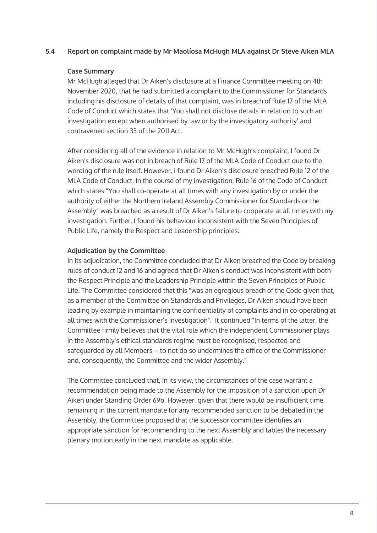#### **Report on complaint made by Mr Maolíosa McHugh MLA against Dr Steve Aiken MLA 5.4**

### **Case Summary**

Mr McHugh alleged that Dr Aiken's disclosure at a Finance Committee meeting on 4th November 2020, that he had submitted a complaint to the Commissioner for Standards including his disclosure of details of that complaint, was in breach of Rule 17 of the MLA Code of Conduct which states that 'You shall not disclose details in relation to such an investigation except when authorised by law or by the investigatory authority' and contravened section 33 of the 2011 Act.

After considering all of the evidence in relation to Mr McHugh's complaint, I found Dr Aiken's disclosure was not in breach of Rule 17 of the MLA Code of Conduct due to the wording of the rule itself. However, I found Dr Aiken's disclosure breached Rule 12 of the MLA Code of Conduct. In the course of my investigation, Rule 16 of the Code of Conduct which states "You shall co-operate at all times with any investigation by or under the authority of either the Northern Ireland Assembly Commissioner for Standards or the Assembly" was breached as a result of Dr Aiken's failure to cooperate at all times with my investigation. Further, I found his behaviour inconsistent with the Seven Principles of Public Life, namely the Respect and Leadership principles.

### **Adjudication by the Committee**

all times with the Commissioner's investigation". It continued "In terms of the latter, the<br>Committee finally halfawer that the vital nels which the index and art Commissioner alone In its adjudication, the Committee concluded that Dr Aiken breached the Code by breaking rules of conduct 12 and 16 and agreed that Dr Aiken's conduct was inconsistent with both the Respect Principle and the Leadership Principle within the Seven Principles of Public Life. The Committee considered that this **"**was an egregious breach of the Code given that, as a member of the Committee on Standards and Privileges, Dr Aiken should have been leading by example in maintaining the confidentiality of complaints and in co-operating at Committee firmly believes that the vital role which the independent Commissioner plays in the Assembly's ethical standards regime must be recognised, respected and safeguarded by all Members – to not do so undermines the office of the Commissioner and, consequently, the Committee and the wider Assembly."

Assembly, the Committee proposed that the successor committee identifies an The Committee concluded that, in its view, the circumstances of the case warrant a recommendation being made to the Assembly for the imposition of a sanction upon Dr Aiken under Standing Order 69b. However, given that there would be insufficient time remaining in the current mandate for any recommended sanction to be debated in the appropriate sanction for recommending to the next Assembly and tables the necessary plenary motion early in the next mandate as applicable.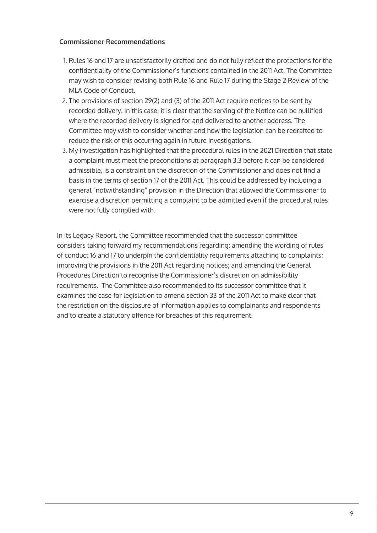### **Commissioner Recommendations**

- 1. Rules 16 and 17 are unsatisfactorily drafted and do not fully reflect the protections for the confidentiality of the Commissioner's functions contained in the 2011 Act. The Committee may wish to consider revising both Rule 16 and Rule 17 during the Stage 2 Review of the MLA Code of Conduct.
- 2. The provisions of section 29(2) and (3) of the 2011 Act require notices to be sent by recorded delivery. In this case, it is clear that the serving of the Notice can be nullified where the recorded delivery is signed for and delivered to another address. The Committee may wish to consider whether and how the legislation can be redrafted to reduce the risk of this occurring again in future investigations.
- 3. My investigation has highlighted that the procedural rules in the 2021 Direction that state a complaint must meet the preconditions at paragraph 3.3 before it can be considered admissible, is a constraint on the discretion of the Commissioner and does not find a basis in the terms of section 17 of the 2011 Act. This could be addressed by including a general "notwithstanding" provision in the Direction that allowed the Commissioner to exercise a discretion permitting a complaint to be admitted even if the procedural rules were not fully complied with.

In its Legacy Report, the Committee recommended that the successor committee considers taking forward my recommendations regarding: amending the wording of rules of conduct 16 and 17 to underpin the confidentiality requirements attaching to complaints; improving the provisions in the 2011 Act regarding notices; and amending the General Procedures Direction to recognise the Commissioner's discretion on admissibility requirements. The Committee also recommended to its successor committee that it examines the case for legislation to amend section 33 of the 2011 Act to make clear that the restriction on the disclosure of information applies to complainants and respondents and to create a statutory offence for breaches of this requirement.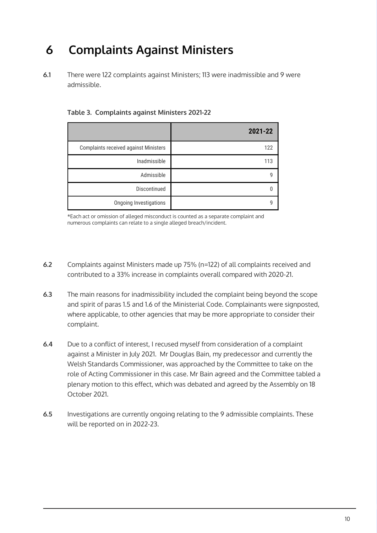## **6 Complaints Against Ministers**

There were 122 complaints against Ministers; 113 were inadmissible and 9 were admissible. **6.1**

|                                              | 2021-22 |
|----------------------------------------------|---------|
| <b>Complaints received against Ministers</b> | 122     |
| Inadmissible                                 | 113     |
| Admissible                                   | 9       |
| Discontinued                                 |         |
| <b>Ongoing Investigations</b>                | g       |

**Table 3. Complaints against Ministers 2021-22** 

\*Each act or omission of alleged misconduct is counted as a separate complaint and numerous complaints can relate to a single alleged breach/incident.

- Complaints against Ministers made up 75% (n=122) of all complaints received and contributed to a 33% increase in complaints overall compared with 2020-21. **6.2**
- The main reasons for inadmissibility included the complaint being beyond the scope and spirit of paras 1.5 and 1.6 of the Ministerial Code. Complainants were signposted, where applicable, to other agencies that may be more appropriate to consider their complaint. **6.3**
- Due to a conflict of interest, I recused myself from consideration of a complaint against a Minister in July 2021. Mr Douglas Bain, my predecessor and currently the Welsh Standards Commissioner, was approached by the Committee to take on the role of Acting Commissioner in this case. Mr Bain agreed and the Committee tabled a plenary motion to this effect, which was debated and agreed by the Assembly on 18 October 2021. **6.4**
- lnvestigations are currently ongoing relating to the 9 admissible complaints. These<br>المدة المستحدة السيار المستحدة المستحدة المستحدة المستحدة المستحدة المستحدة المستحدة المستحدة المستحدة المستحد will be reported on in 2022-23. **6.5**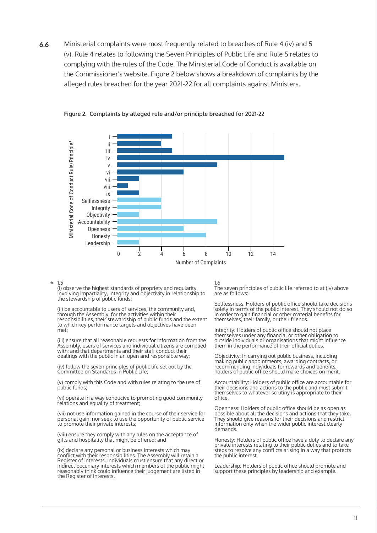Ministerial complaints were most frequently related to breaches of Rule 4 (iv) and 5 (v). Rule 4 relates to following the Seven Principles of Public Life and Rule 5 relates to complying with the rules of the Code. The Ministerial Code of Conduct is available on the Commissioner's website. Figure 2 below shows a breakdown of complaints by the alleged rules breached for the year 2021-22 for all complaints against Ministers. **6.6**



### **Figure 2. Complaints by alleged rule and/or principle breached for 2021-22**

1.5 \*

(i) observe the highest standards of propriety and regularity involving impartiality, integrity and objectivity in relationship to the stewardship of public funds;

responsibitities, their stewardship of public funds and the extent their<br>to which key performance targets and objectives have been (ii) be accountable to users of services, the community and, through the Assembly, for the activities within their responsibilities, their stewardship of public funds and the extent met;

(iii) ensure that all reasonable requests for information from the Assembly, users of services and individual citizens are complied with; and that departments and their staff conduct their dealings with the public in an open and responsible way;

(iv) follow the seven principles of public life set out by the Committee on Standards in Public Life;

(v) comply with this Code and with rules relating to the use of public funds;

(vi) operate in a way conducive to promoting good community relations and equality of treatment;

(VII) Not use information gained in the course of their service for a possible<br>personal gain; nor seek to use the opportunity of public service they show (vii) not use information gained in the course of their service for to promote their private interests;

(viii) ensure they comply with any rules on the acceptance of gifts and hospitality that might be offered; and

(ix) declare any personal or business interests which may conflict with their responsibilities. The Assembly will retain a Register of Interests. Individuals must ensure that any direct or indirect pecuniary interests which members of the public might reasonably think could influence their judgement are listed in the Register of Interests.

### 1.6

The seven principles of public life referred to at (iv) above are as follows:

Selflessness: Holders of public office should take decisions solely in terms of the public interest. They should not do so in order to gain financial or other material benefits for themselves, their family, or their friends.

Integrity: Holders of public office should not place themselves under any financial or other obligation to outside individuals or organisations that might influence them in the performance of their official duties.

Objectivity: In carrying out public business, including making public appointments, awarding contracts, or recommending individuals for rewards and benefits, holders of public office should make choices on merit.

Accountability: Holders of public office are accountable for their decisions and actions to the public and must submit themselves to whatever scrutiny is appropriate to their office.

Openness: Holders of public office should be as open as possible about all the decisions and actions that they take. They should give reasons for their decisions and restrict information only when the wider public interest clearly demands.

Honesty: Holders of public office have a duty to declare any private interests relating to their public duties and to take steps to resolve any conflicts arising in a way that protects the public interest.

Leadership: Holders of public office should promote and support these principles by leadership and example.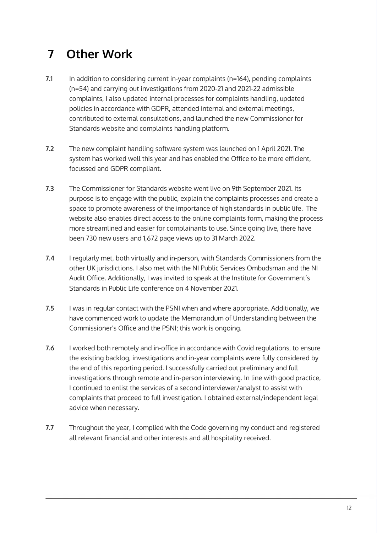## **7 Other Work**

- In addition to considering current in-year complaints (n=164), pending complaints (n=54) and carrying out investigations from 2020-21 and 2021-22 admissible complaints, I also updated internal processes for complaints handling, updated policies in accordance with GDPR, attended internal and external meetings, contributed to external consultations, and launched the new Commissioner for Standards website and complaints handling platform. **7.1**
- The new complaint handling software system was launched on 1 April 2021. The system has worked well this year and has enabled the Office to be more efficient, focussed and GDPR compliant. **7.2**
- The Commissioner for Standards website went live on 9th September 2021. Its purpose is to engage with the public, explain the complaints processes and create a space to promote awareness of the importance of high standards in public life. The website also enables direct access to the online complaints form, making the process more streamlined and easier for complainants to use. Since going live, there have been 730 new users and 1,672 page views up to 31 March 2022. **7.3**
- I regularly met, both virtually and in-person, with Standards Commissioners from the other UK jurisdictions. I also met with the NI Public Services Ombudsman and the NI Audit Office. Additionally, I was invited to speak at the Institute for Government's Standards in Public Life conference on 4 November 2021. **7.4**
- I was in regular contact with the PSNI when and where appropriate. Additionally, we have commenced work to update the Memorandum of Understanding between the Commissioner's Office and the PSNI; this work is ongoing. **7.5**
- I worked both remotely and in-office in accordance with Covid regulations, to ensure the existing backlog, investigations and in-year complaints were fully considered by the end of this reporting period. I successfully carried out preliminary and full investigations through remote and in-person interviewing. In line with good practice, I continued to enlist the services of a second interviewer/analyst to assist with complaints that proceed to full investigation. I obtained external/independent legal advice when necessary. **7.6**
- Throughout the year, I complied with the Code governing my conduct and registered all relevant financial and other interests and all hospitality received. **7.7**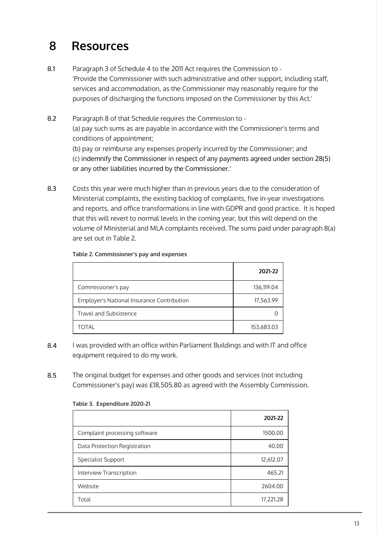## **8 Resources**

- Paragraph 3 of Schedule 4 to the 2011 Act requires the Commission to 'Provide the Commissioner with such administrative and other support, including staff, services and accommodation, as the Commissioner may reasonably require for the purposes of discharging the functions imposed on the Commissioner by this Act.' **8.1**
- Paragraph 8 of that Schedule requires the Commission to (a) pay such sums as are payable in accordance with the Commissioner's terms and conditions of appointment; (b) pay or reimburse any expenses properly incurred by the Commissioner; and (c) indemnify the Commissioner in respect of any payments agreed under section 28(5) or any other liabilities incurred by the Commissioner.' **8.2**
- Costs this year were much higher than in previous years due to the consideration of Ministerial complaints, the existing backlog of complaints, five in-year investigations and reports, and office transformations in line with GDPR and good practice. It is hoped that this will revert to normal levels in the coming year, but this will depend on the volume of Ministerial and MLA complaints received. The sums paid under paragraph 8(a) are set out in Table 2. **8.3**

|                                            | 2021-22    |
|--------------------------------------------|------------|
| Commissioner's pay                         | 136,119.04 |
| Employer's National Insurance Contribution | 17,563.99  |
| <b>Travel and Subsistence</b>              |            |
| <b>TOTAL</b>                               | 153,683.03 |

### **Table 2. Commissioner's pay and expenses**

- I was provided with an office within Parliament Buildings and with IT and office equipment required to do my work. **8.4**
- The original budget for expenses and other goods and services (not including Commissioner's pay) was £18,505.80 as agreed with the Assembly Commission. **8.5**

| Table 5. Experience 2020-21   |           |  |
|-------------------------------|-----------|--|
|                               | 2021-22   |  |
| Complaint processing software | 1500.00   |  |
| Data Protection Registration  | 40.00     |  |
| <b>Specialist Support</b>     | 12,612.07 |  |
| Interview Transcription       | 465.21    |  |
| Website                       | 2604.00   |  |
| Total                         | 17,221.28 |  |

### **Table 3. Expenditure 2020-21**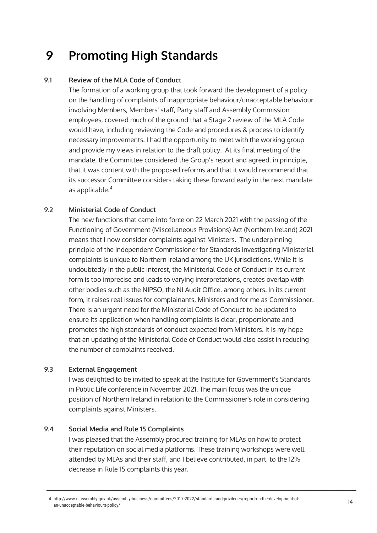## **9 Promoting High Standards**

#### **Review of the MLA Code of Conduct 9.1**

The formation of a working group that took forward the development of a policy on the handling of complaints of inappropriate behaviour/unacceptable behaviour involving Members, Members' staff, Party staff and Assembly Commission employees, covered much of the ground that a Stage 2 review of the MLA Code would have, including reviewing the Code and procedures & process to identify necessary improvements. I had the opportunity to meet with the working group and provide my views in relation to the draft policy. At its final meeting of the mandate, the Committee considered the Group's report and agreed, in principle, that it was content with the proposed reforms and that it would recommend that its successor Committee considers taking these forward early in the next mandate as applicable. 4

#### **Ministerial Code of Conduct 9.2**

The new functions that came into force on 22 March 2021 with the passing of the Functioning of Government (Miscellaneous Provisions) Act (Northern Ireland) 2021 means that I now consider complaints against Ministers. The underpinning principle of the independent Commissioner for Standards investigating Ministerial complaints is unique to Northern Ireland among the UK jurisdictions. While it is undoubtedly in the public interest, the Ministerial Code of Conduct in its current form is too imprecise and leads to varying interpretations, creates overlap with other bodies such as the NIPSO, the NI Audit Office, among others. In its current form, it raises real issues for complainants, Ministers and for me as Commissioner. There is an urgent need for the Ministerial Code of Conduct to be updated to ensure its application when handling complaints is clear, proportionate and promotes the high standards of conduct expected from Ministers. It is my hope that an updating of the Ministerial Code of Conduct would also assist in reducing the number of complaints received.

#### **External Engagement 9.3**

I was delighted to be invited to speak at the Institute for Government's Standards in Public Life conference in November 2021. The main focus was the unique position of Northern Ireland in relation to the Commissioner's role in considering complaints against Ministers.

#### **Social Media and Rule 15 Complaints 9.4**

I was pleased that the Assembly procured training for MLAs on how to protect their reputation on social media platforms. These training workshops were well attended by MLAs and their staff, and I believe contributed, in part, to the 12% decrease in Rule 15 complaints this year.

<sup>4</sup> http://www.niassembly.gov.uk/assembly-business/committees/2017-2022/standards-and-privileges/report-on-the-development-ofan-unacceptable-behaviours-policy/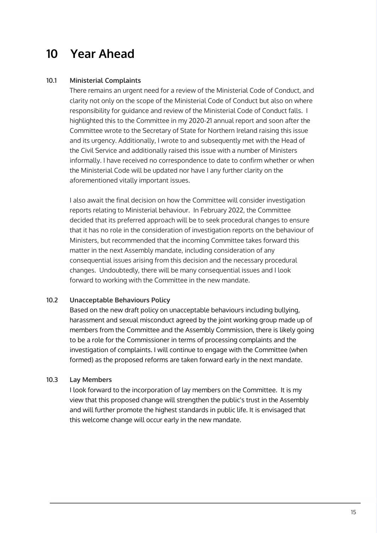## **10 Year Ahead**

#### **Ministerial Complaints 10.1**

There remains an urgent need for a review of the Ministerial Code of Conduct, and clarity not only on the scope of the Ministerial Code of Conduct but also on where responsibility for guidance and review of the Ministerial Code of Conduct falls. I highlighted this to the Committee in my 2020-21 annual report and soon after the Committee wrote to the Secretary of State for Northern Ireland raising this issue and its urgency. Additionally, I wrote to and subsequently met with the Head of the Civil Service and additionally raised this issue with a number of Ministers informally. I have received no correspondence to date to confirm whether or when the Ministerial Code will be updated nor have I any further clarity on the aforementioned vitally important issues.

I also await the final decision on how the Committee will consider investigation reports relating to Ministerial behaviour. In February 2022, the Committee decided that its preferred approach will be to seek procedural changes to ensure that it has no role in the consideration of investigation reports on the behaviour of Ministers, but recommended that the incoming Committee takes forward this matter in the next Assembly mandate, including consideration of any consequential issues arising from this decision and the necessary procedural changes. Undoubtedly, there will be many consequential issues and I look forward to working with the Committee in the new mandate.

#### **Unacceptable Behaviours Policy 10.2**

Based on the new draft policy on unacceptable behaviours including bullying, harassment and sexual misconduct agreed by the joint working group made up of members from the Committee and the Assembly Commission, there is likely going to be a role for the Commissioner in terms of processing complaints and the investigation of complaints. I will continue to engage with the Committee (when formed) as the proposed reforms are taken forward early in the next mandate.

#### **Lay Members 10.3**

I look forward to the incorporation of lay members on the Committee. It is my view that this proposed change will strengthen the public's trust in the Assembly and will further promote the highest standards in public life. It is envisaged that this welcome change will occur early in the new mandate.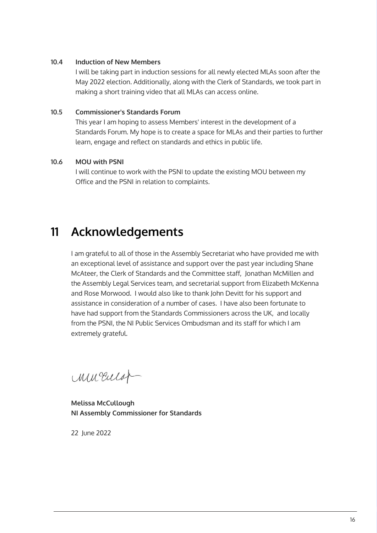#### **Induction of New Members 10.4**

I will be taking part in induction sessions for all newly elected MLAs soon after the May 2022 election. Additionally, along with the Clerk of Standards, we took part in making a short training video that all MLAs can access online.

#### **Commissioner's Standards Forum 10.5**

This year I am hoping to assess Members' interest in the development of a Standards Forum. My hope is to create a space for MLAs and their parties to further learn, engage and reflect on standards and ethics in public life.

#### **MOU with PSNI 10.6**

I will continue to work with the PSNI to update the existing MOU between my Office and the PSNI in relation to complaints.

## **11 Acknowledgements**

I am grateful to all of those in the Assembly Secretariat who have provided me with an exceptional level of assistance and support over the past year including Shane McAteer, the Clerk of Standards and the Committee staff, Jonathan McMillen and the Assembly Legal Services team, and secretarial support from Elizabeth McKenna and Rose Morwood. I would also like to thank John Devitt for his support and assistance in consideration of a number of cases. I have also been fortunate to have had support from the Standards Commissioners across the UK, and locally from the PSNI, the NI Public Services Ombudsman and its staff for which I am extremely grateful.

mucular-

**Melissa McCullough NI Assembly Commissioner for Standards**

22 June 2022